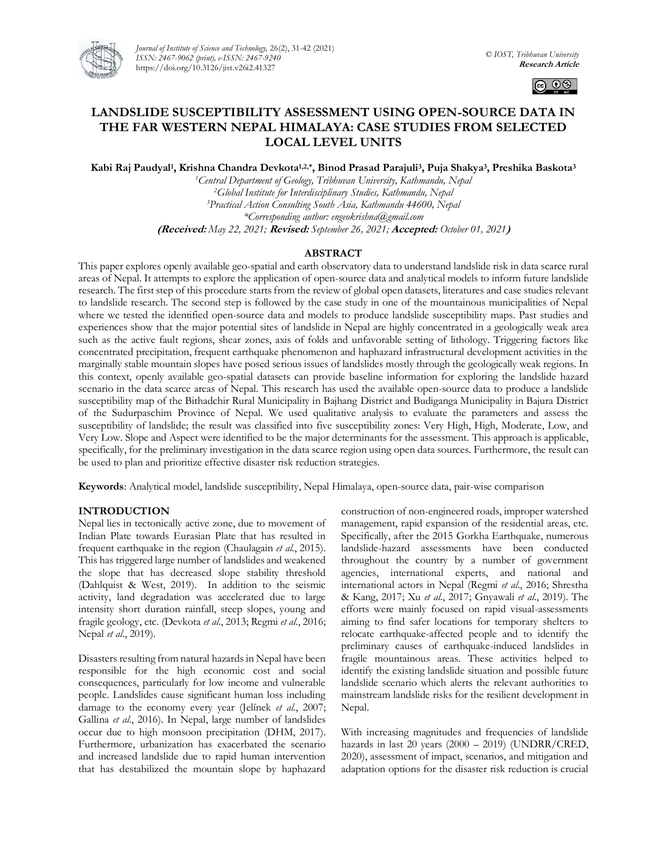

*Journal of Institute of Science and Technology,* 26(2), 31-42 (2021) *ISSN: 2467-9062 (print), e-ISSN: 2467-9240* https://doi.org/10.3126/jist.v26i2.41327



# **LANDSLIDE SUSCEPTIBILITY ASSESSMENT USING OPEN-SOURCE DATA IN THE FAR WESTERN NEPAL HIMALAYA: CASE STUDIES FROM SELECTED LOCAL LEVEL UNITS**

**Kabi Raj Paudyal<sup>1</sup> , Krishna Chandra Devkota1,2,\*, Binod Prasad Parajuli<sup>3</sup> , Puja Shakya<sup>3</sup> , Preshika Baskota<sup>3</sup>**

*<sup>1</sup>Central Department of Geology, Tribhuvan University, Kathmandu, Nepal <sup>2</sup>Global Institute for Interdisciplinary Studies, Kathmandu, Nepal <sup>3</sup>Practical Action Consulting South Asia, Kathmandu 44600, Nepal \*Corresponding author: engeokrishna@gmail.com* **(Received:** *May 22, 2021;* **Revised:** *September 26, 2021;* **Accepted:** *October 01, 2021***)**

## **ABSTRACT**

This paper explores openly available geo-spatial and earth observatory data to understand landslide risk in data scarce rural areas of Nepal. It attempts to explore the application of open-source data and analytical models to inform future landslide research. The first step of this procedure starts from the review of global open datasets, literatures and case studies relevant to landslide research. The second step is followed by the case study in one of the mountainous municipalities of Nepal where we tested the identified open-source data and models to produce landslide susceptibility maps. Past studies and experiences show that the major potential sites of landslide in Nepal are highly concentrated in a geologically weak area such as the active fault regions, shear zones, axis of folds and unfavorable setting of lithology. Triggering factors like concentrated precipitation, frequent earthquake phenomenon and haphazard infrastructural development activities in the marginally stable mountain slopes have posed serious issues of landslides mostly through the geologically weak regions. In this context, openly available geo-spatial datasets can provide baseline information for exploring the landslide hazard scenario in the data scarce areas of Nepal. This research has used the available open-source data to produce a landslide susceptibility map of the Bithadchir Rural Municipality in Bajhang District and Budiganga Municipality in Bajura District of the Sudurpaschim Province of Nepal. We used qualitative analysis to evaluate the parameters and assess the susceptibility of landslide; the result was classified into five susceptibility zones: Very High, High, Moderate, Low, and Very Low. Slope and Aspect were identified to be the major determinants for the assessment. This approach is applicable, specifically, for the preliminary investigation in the data scarce region using open data sources. Furthermore, the result can be used to plan and prioritize effective disaster risk reduction strategies.

**Keywords**: Analytical model, landslide susceptibility, Nepal Himalaya, open-source data, pair-wise comparison

## **INTRODUCTION**

Nepal lies in tectonically active zone, due to movement of Indian Plate towards Eurasian Plate that has resulted in frequent earthquake in the region (Chaulagain *et al.*, 2015). This has triggered large number of landslides and weakened the slope that has decreased slope stability threshold (Dahlquist & West, 2019). In addition to the seismic activity, land degradation was accelerated due to large intensity short duration rainfall, steep slopes, young and fragile geology, etc. (Devkota *et al*., 2013; Regmi *et al.*, 2016; Nepal *et al*., 2019).

Disasters resulting from natural hazards in Nepal have been responsible for the high economic cost and social consequences, particularly for low income and vulnerable people. Landslides cause significant human loss including damage to the economy every year (Jelínek *et al*., 2007; Gallina *et al*., 2016). In Nepal, large number of landslides occur due to high monsoon precipitation (DHM, 2017). Furthermore, urbanization has exacerbated the scenario and increased landslide due to rapid human intervention that has destabilized the mountain slope by haphazard construction of non-engineered roads, improper watershed management, rapid expansion of the residential areas, etc. Specifically, after the 2015 Gorkha Earthquake, numerous landslide-hazard assessments have been conducted throughout the country by a number of government agencies, international experts, and national and international actors in Nepal (Regmi *et al*., 2016; Shrestha & Kang, 2017; Xu *et al*., 2017; Gnyawali *et al*., 2019). The efforts were mainly focused on rapid visual-assessments aiming to find safer locations for temporary shelters to relocate earthquake-affected people and to identify the preliminary causes of earthquake-induced landslides in fragile mountainous areas. These activities helped to identify the existing landslide situation and possible future landslide scenario which alerts the relevant authorities to mainstream landslide risks for the resilient development in Nepal.

With increasing magnitudes and frequencies of landslide hazards in last 20 years  $(2000 - 2019)$  (UNDRR/CRED, 2020), assessment of impact, scenarios, and mitigation and adaptation options for the disaster risk reduction is crucial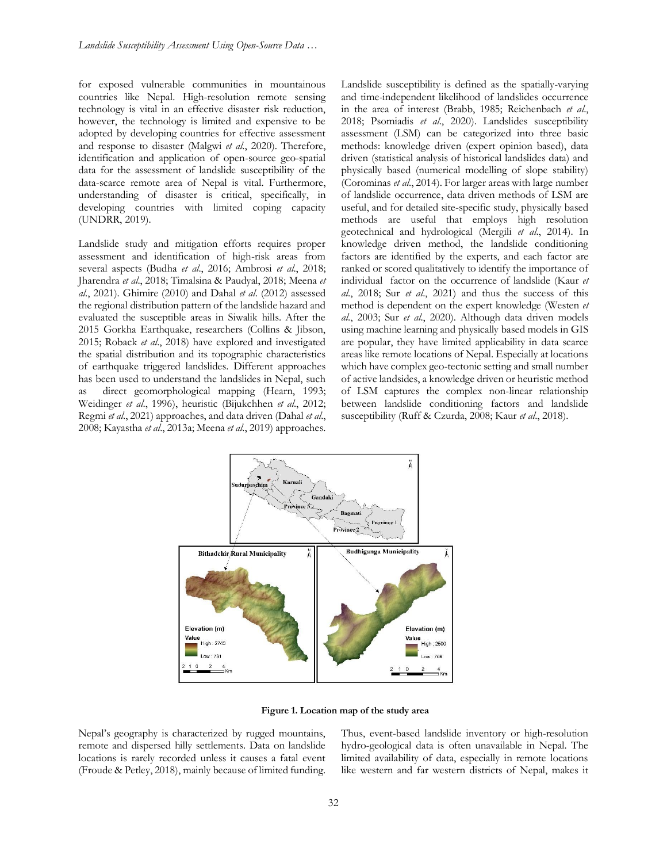for exposed vulnerable communities in mountainous countries like Nepal. High-resolution remote sensing technology is vital in an effective disaster risk reduction, however, the technology is limited and expensive to be adopted by developing countries for effective assessment and response to disaster (Malgwi *et al*., 2020). Therefore, identification and application of open-source geo-spatial data for the assessment of landslide susceptibility of the data-scarce remote area of Nepal is vital. Furthermore, understanding of disaster is critical, specifically, in developing countries with limited coping capacity (UNDRR, 2019).

Landslide study and mitigation efforts requires proper assessment and identification of high-risk areas from several aspects (Budha *et al*., 2016; Ambrosi *et al*., 2018; Jharendra *et al*., 2018; Timalsina & Paudyal, 2018; Meena *et al*., 2021). Ghimire (2010) and Dahal *et al*. (2012) assessed the regional distribution pattern of the landslide hazard and evaluated the susceptible areas in Siwalik hills. After the 2015 Gorkha Earthquake, researchers (Collins & Jibson, 2015; Roback *et al*., 2018) have explored and investigated the spatial distribution and its topographic characteristics of earthquake triggered landslides. Different approaches has been used to understand the landslides in Nepal, such as direct geomorphological mapping (Hearn, 1993; Weidinger *et al*., 1996), heuristic (Bijukchhen *et al*., 2012; Regmi *et al*., 2021) approaches, and data driven (Dahal *et al*., 2008; Kayastha *et al*., 2013a; Meena *et al*., 2019) approaches.

Landslide susceptibility is defined as the spatially-varying and time-independent likelihood of landslides occurrence in the area of interest (Brabb, 1985; Reichenbach *et al*., 2018; Psomiadis *et al*., 2020). Landslides susceptibility assessment (LSM) can be categorized into three basic methods: knowledge driven (expert opinion based), data driven (statistical analysis of historical landslides data) and physically based (numerical modelling of slope stability) (Corominas *et al*., 2014). For larger areas with large number of landslide occurrence, data driven methods of LSM are useful, and for detailed site-specific study, physically based methods are useful that employs high resolution geotechnical and hydrological (Mergili *et al*., 2014). In knowledge driven method, the landslide conditioning factors are identified by the experts, and each factor are ranked or scored qualitatively to identify the importance of individual factor on the occurrence of landslide (Kaur *et al*., 2018; Sur *et al*., 2021) and thus the success of this method is dependent on the expert knowledge (Westen *et al*., 2003; Sur *et al*., 2020). Although data driven models using machine learning and physically based models in GIS are popular, they have limited applicability in data scarce areas like remote locations of Nepal. Especially at locations which have complex geo-tectonic setting and small number of active landsides, a knowledge driven or heuristic method of LSM captures the complex non-linear relationship between landslide conditioning factors and landslide susceptibility (Ruff & Czurda, 2008; Kaur *et al*., 2018).



**Figure 1. Location map of the study area**

Nepal's geography is characterized by rugged mountains, remote and dispersed hilly settlements. Data on landslide locations is rarely recorded unless it causes a fatal event (Froude & Petley, 2018), mainly because of limited funding. Thus, event-based landslide inventory or high-resolution hydro-geological data is often unavailable in Nepal. The limited availability of data, especially in remote locations like western and far western districts of Nepal, makes it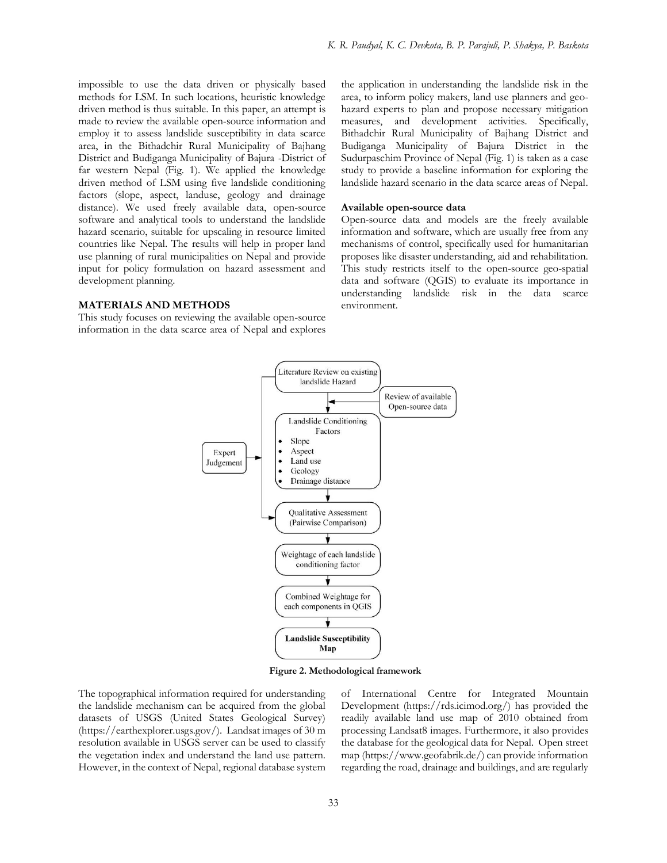impossible to use the data driven or physically based methods for LSM. In such locations, heuristic knowledge driven method is thus suitable. In this paper, an attempt is made to review the available open-source information and employ it to assess landslide susceptibility in data scarce area, in the Bithadchir Rural Municipality of Bajhang District and Budiganga Municipality of Bajura -District of far western Nepal (Fig. 1). We applied the knowledge driven method of LSM using five landslide conditioning factors (slope, aspect, landuse, geology and drainage distance). We used freely available data, open-source software and analytical tools to understand the landslide hazard scenario, suitable for upscaling in resource limited countries like Nepal. The results will help in proper land use planning of rural municipalities on Nepal and provide input for policy formulation on hazard assessment and development planning.

### **MATERIALS AND METHODS**

This study focuses on reviewing the available open-source information in the data scarce area of Nepal and explores

the application in understanding the landslide risk in the area, to inform policy makers, land use planners and geohazard experts to plan and propose necessary mitigation measures, and development activities. Specifically, Bithadchir Rural Municipality of Bajhang District and Budiganga Municipality of Bajura District in the Sudurpaschim Province of Nepal (Fig. 1) is taken as a case study to provide a baseline information for exploring the landslide hazard scenario in the data scarce areas of Nepal.

#### **Available open-source data**

Open-source data and models are the freely available information and software, which are usually free from any mechanisms of control, specifically used for humanitarian proposes like disaster understanding, aid and rehabilitation. This study restricts itself to the open-source geo-spatial data and software (QGIS) to evaluate its importance in understanding landslide risk in the data scarce environment.



**Figure 2. Methodological framework**

The topographical information required for understanding the landslide mechanism can be acquired from the global datasets of USGS (United States Geological Survey) (https://earthexplorer.usgs.gov/). Landsat images of 30 m resolution available in USGS server can be used to classify the vegetation index and understand the land use pattern. However, in the context of Nepal, regional database system of International Centre for Integrated Mountain Development (https://rds.icimod.org/) has provided the readily available land use map of 2010 obtained from processing Landsat8 images. Furthermore, it also provides the database for the geological data for Nepal. Open street map (https://www.geofabrik.de/) can provide information regarding the road, drainage and buildings, and are regularly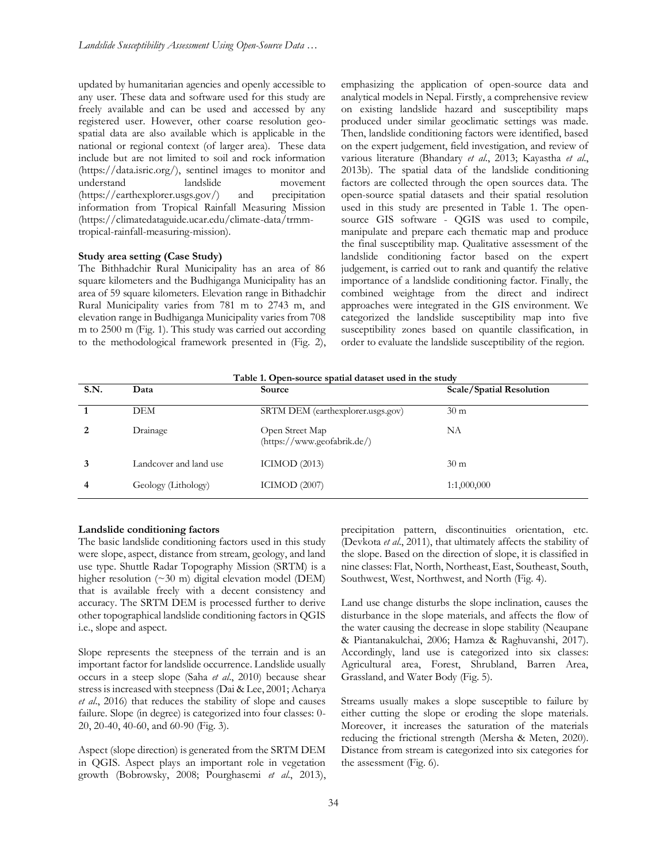updated by humanitarian agencies and openly accessible to any user. These data and software used for this study are freely available and can be used and accessed by any registered user. However, other coarse resolution geospatial data are also available which is applicable in the national or regional context (of larger area). These data include but are not limited to soil and rock information (https://data.isric.org/), sentinel images to monitor and understand landslide movement (https://earthexplorer.usgs.gov/) and precipitation information from Tropical Rainfall Measuring Mission (https://climatedataguide.ucar.edu/climate-data/trmmtropical-rainfall-measuring-mission).

### **Study area setting (Case Study)**

The Bithhadchir Rural Municipality has an area of 86 square kilometers and the Budhiganga Municipality has an area of 59 square kilometers. Elevation range in Bithadchir Rural Municipality varies from 781 m to 2743 m, and elevation range in Budhiganga Municipality varies from 708 m to 2500 m (Fig. 1). This study was carried out according to the methodological framework presented in (Fig. 2), emphasizing the application of open-source data and analytical models in Nepal. Firstly, a comprehensive review on existing landslide hazard and susceptibility maps produced under similar geoclimatic settings was made. Then, landslide conditioning factors were identified, based on the expert judgement, field investigation, and review of various literature (Bhandary *et al*., 2013; Kayastha *et al*., 2013b). The spatial data of the landslide conditioning factors are collected through the open sources data. The open-source spatial datasets and their spatial resolution used in this study are presented in Table 1. The opensource GIS software - QGIS was used to compile, manipulate and prepare each thematic map and produce the final susceptibility map. Qualitative assessment of the landslide conditioning factor based on the expert judgement, is carried out to rank and quantify the relative importance of a landslide conditioning factor. Finally, the combined weightage from the direct and indirect approaches were integrated in the GIS environment. We categorized the landslide susceptibility map into five susceptibility zones based on quantile classification, in order to evaluate the landslide susceptibility of the region.

|      |                        | Table 1. Open-source spatial dataset used in the study |                                 |
|------|------------------------|--------------------------------------------------------|---------------------------------|
| S.N. | Data                   | Source                                                 | <b>Scale/Spatial Resolution</b> |
|      | DEM                    | SRTM DEM (earthexplorer.usgs.gov)                      | 30 <sub>m</sub>                 |
|      | Drainage               | Open Street Map<br>(https://www.geofabrik.de/)         | NA                              |
|      | Landcover and land use | ICIMOD $(2013)$                                        | 30 <sub>m</sub>                 |
| 4    | Geology (Lithology)    | ICIMOD $(2007)$                                        | 1:1,000,000                     |

### **Landslide conditioning factors**

The basic landslide conditioning factors used in this study were slope, aspect, distance from stream, geology, and land use type. Shuttle Radar Topography Mission (SRTM) is a higher resolution (~30 m) digital elevation model (DEM) that is available freely with a decent consistency and accuracy. The SRTM DEM is processed further to derive other topographical landslide conditioning factors in QGIS i.e., slope and aspect.

Slope represents the steepness of the terrain and is an important factor for landslide occurrence. Landslide usually occurs in a steep slope (Saha *et al*., 2010) because shear stress is increased with steepness (Dai & Lee, 2001; Acharya *et al*., 2016) that reduces the stability of slope and causes failure. Slope (in degree) is categorized into four classes: 0- 20, 20-40, 40-60, and 60-90 (Fig. 3).

Aspect (slope direction) is generated from the SRTM DEM in QGIS. Aspect plays an important role in vegetation growth (Bobrowsky, 2008; Pourghasemi *et al*., 2013), precipitation pattern, discontinuities orientation, etc. (Devkota *et al*., 2011), that ultimately affects the stability of the slope. Based on the direction of slope, it is classified in nine classes: Flat, North, Northeast, East, Southeast, South, Southwest, West, Northwest, and North (Fig. 4).

Land use change disturbs the slope inclination, causes the disturbance in the slope materials, and affects the flow of the water causing the decrease in slope stability (Neaupane & Piantanakulchai, 2006; Hamza & Raghuvanshi, 2017). Accordingly, land use is categorized into six classes: Agricultural area, Forest, Shrubland, Barren Area, Grassland, and Water Body (Fig. 5).

Streams usually makes a slope susceptible to failure by either cutting the slope or eroding the slope materials. Moreover, it increases the saturation of the materials reducing the frictional strength (Mersha & Meten, 2020). Distance from stream is categorized into six categories for the assessment (Fig. 6).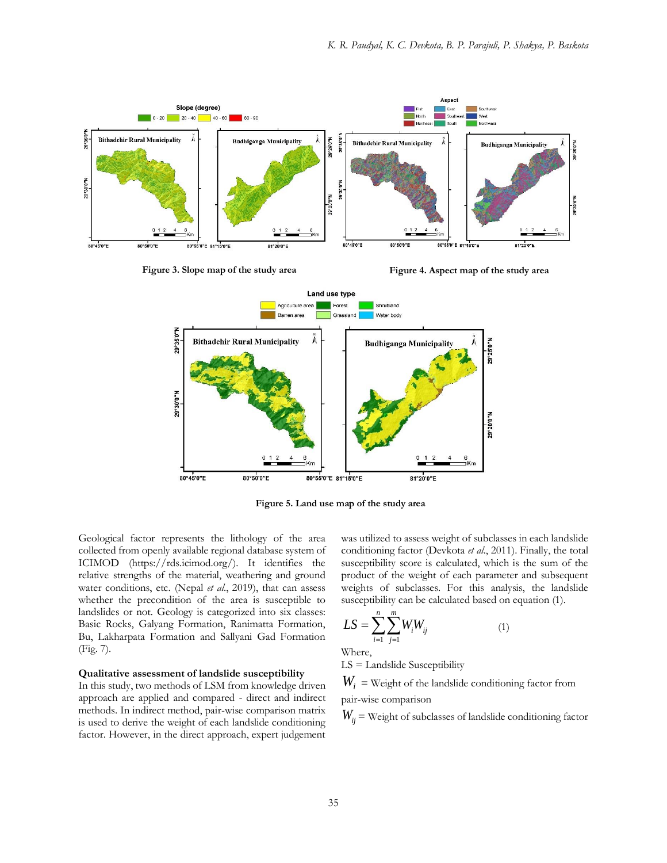

**Figure 3. Slope map of the study area**

**Figure 4. Aspect map of the study area**



**Figure 5. Land use map of the study area**

Geological factor represents the lithology of the area collected from openly available regional database system of ICIMOD (https://rds.icimod.org/). It identifies the relative strengths of the material, weathering and ground water conditions, etc. (Nepal *et al*., 2019), that can assess whether the precondition of the area is susceptible to landslides or not. Geology is categorized into six classes: Basic Rocks, Galyang Formation, Ranimatta Formation, Bu, Lakharpata Formation and Sallyani Gad Formation (Fig. 7).

### **Qualitative assessment of landslide susceptibility**

In this study, two methods of LSM from knowledge driven approach are applied and compared - direct and indirect methods. In indirect method, pair-wise comparison matrix is used to derive the weight of each landslide conditioning factor. However, in the direct approach, expert judgement was utilized to assess weight of subclasses in each landslide conditioning factor (Devkota *et al*., 2011). Finally, the total susceptibility score is calculated, which is the sum of the product of the weight of each parameter and subsequent weights of subclasses. For this analysis, the landslide susceptibility can be calculated based on equation (1).

$$
LS = \sum_{i=1}^{n} \sum_{j=1}^{m} W_i W_{ij}
$$
 (1)

Where,

LS = Landslide Susceptibility

 $W^{\vphantom{\dagger}}_i$  = Weight of the landslide conditioning factor from pair-wise comparison

 $W^{\vphantom{\dagger}}_{ij}$  = Weight of subclasses of landslide conditioning factor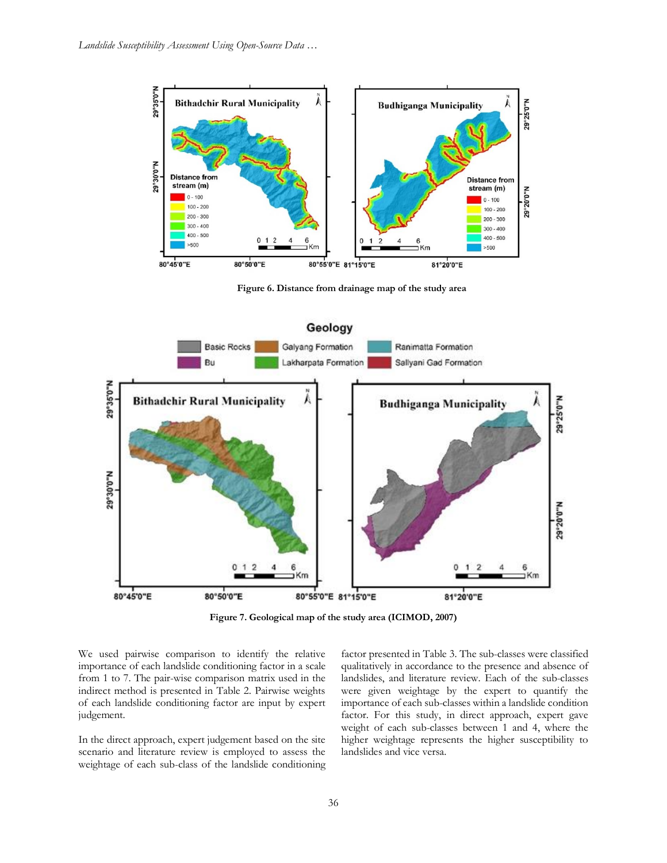

**Figure 6. Distance from drainage map of the study area**



**Figure 7. Geological map of the study area (ICIMOD, 2007)**

We used pairwise comparison to identify the relative importance of each landslide conditioning factor in a scale from 1 to 7. The pair-wise comparison matrix used in the indirect method is presented in Table 2. Pairwise weights of each landslide conditioning factor are input by expert judgement.

In the direct approach, expert judgement based on the site scenario and literature review is employed to assess the weightage of each sub-class of the landslide conditioning

factor presented in Table 3. The sub-classes were classified qualitatively in accordance to the presence and absence of landslides, and literature review. Each of the sub-classes were given weightage by the expert to quantify the importance of each sub-classes within a landslide condition factor. For this study, in direct approach, expert gave weight of each sub-classes between 1 and 4, where the higher weightage represents the higher susceptibility to landslides and vice versa.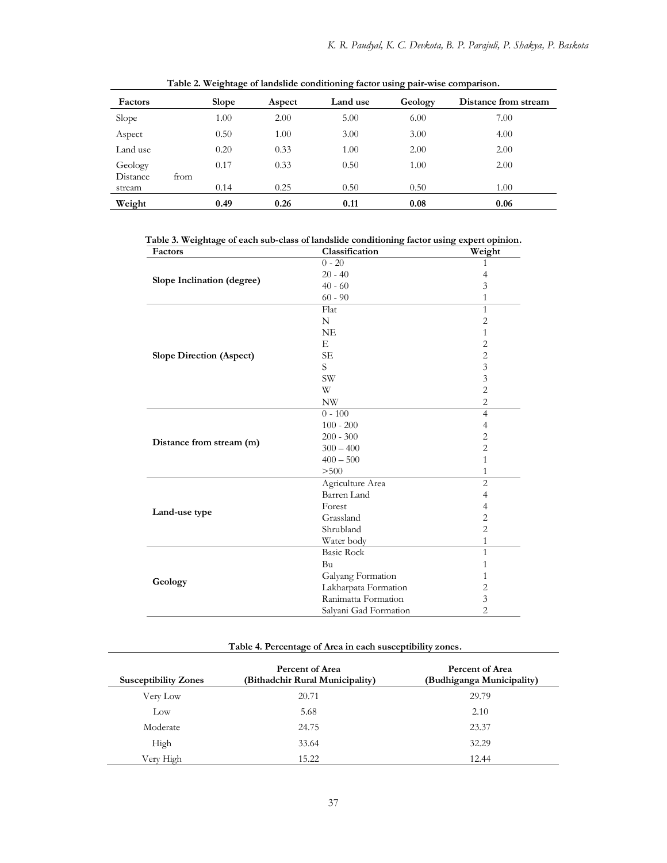| Factors  |      | <b>Slope</b> | Aspect | Land use | Geology | Distance from stream |
|----------|------|--------------|--------|----------|---------|----------------------|
| Slope    |      | 1.00         | 2.00   | 5.00     | 6.00    | 7.00                 |
| Aspect   |      | 0.50         | 1.00   | 3.00     | 3.00    | 4.00                 |
| Land use |      | 0.20         | 0.33   | 1.00     | 2.00    | 2.00                 |
| Geology  |      | 0.17         | 0.33   | 0.50     | 1.00    | 2.00                 |
| Distance | from |              |        |          |         |                      |
| stream   |      | 0.14         | 0.25   | 0.50     | 0.50    | 1.00                 |
| Weight   |      | 0.49         | 0.26   | 0.11     | 0.08    | 0.06                 |

**Table 2. Weightage of landslide conditioning factor using pair-wise comparison.**

**Table 3. Weightage of each sub-class of landslide conditioning factor using expert opinion.**

| Factors                         | Classification        | Weight         |
|---------------------------------|-----------------------|----------------|
|                                 | $0 - 20$              | 1              |
|                                 | $20 - 40$             | 4              |
| Slope Inclination (degree)      | $40 - 60$             | 3              |
|                                 | $60 - 90$             | 1              |
|                                 | Flat                  | $\mathbf{1}$   |
|                                 | N                     | $\overline{2}$ |
|                                 | <b>NE</b>             | 1              |
|                                 | E                     | $\overline{c}$ |
| <b>Slope Direction (Aspect)</b> | <b>SE</b>             | $\overline{c}$ |
|                                 | S                     | $\mathfrak{Z}$ |
|                                 | $\text{SW}$           | $\mathfrak z$  |
|                                 | W                     | $\overline{c}$ |
|                                 | <b>NW</b>             | $\mathbf{2}$   |
|                                 | $0 - 100$             | $\overline{4}$ |
|                                 | $100 - 200$           | $\overline{4}$ |
|                                 | $200 - 300$           | $\overline{2}$ |
| Distance from stream (m)        | $300 - 400$           | $\overline{2}$ |
|                                 | $400 - 500$           | 1              |
|                                 | > 500                 | 1              |
|                                 | Agriculture Area      | $\overline{2}$ |
|                                 | Barren Land           | $\overline{4}$ |
|                                 | Forest                | $\overline{4}$ |
| Land-use type                   | Grassland             | $\overline{c}$ |
|                                 | Shrubland             | $\overline{2}$ |
|                                 | Water body            | 1              |
|                                 | <b>Basic Rock</b>     | $\mathbf{1}$   |
|                                 | Bu                    | 1              |
| Geology                         | Galyang Formation     | 1              |
|                                 | Lakharpata Formation  | $\sqrt{2}$     |
|                                 | Ranimatta Formation   | $\mathfrak z$  |
|                                 | Salyani Gad Formation | $\overline{c}$ |
|                                 |                       |                |

# **Table 4. Percentage of Area in each susceptibility zones.**

| <b>Susceptibility Zones</b> | Percent of Area<br>(Bithadchir Rural Municipality) | Percent of Area<br>(Budhiganga Municipality) |
|-----------------------------|----------------------------------------------------|----------------------------------------------|
| Very Low                    | 20.71                                              | 29.79                                        |
| $_{\text{Low}}$             | 5.68                                               | 2.10                                         |
| Moderate                    | 24.75                                              | 23.37                                        |
| High                        | 33.64                                              | 32.29                                        |
| Verv High                   | 15.22                                              | 12.44                                        |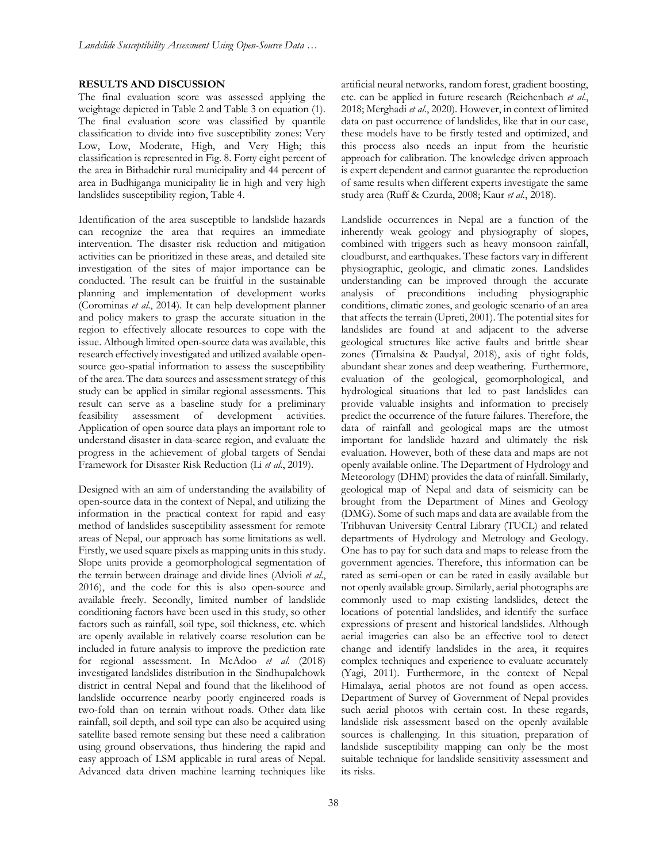### **RESULTS AND DISCUSSION**

The final evaluation score was assessed applying the weightage depicted in Table 2 and Table 3 on equation (1). The final evaluation score was classified by quantile classification to divide into five susceptibility zones: Very Low, Low, Moderate, High, and Very High; this classification is represented in Fig. 8. Forty eight percent of the area in Bithadchir rural municipality and 44 percent of area in Budhiganga municipality lie in high and very high landslides susceptibility region, Table 4.

Identification of the area susceptible to landslide hazards can recognize the area that requires an immediate intervention. The disaster risk reduction and mitigation activities can be prioritized in these areas, and detailed site investigation of the sites of major importance can be conducted. The result can be fruitful in the sustainable planning and implementation of development works (Corominas *et al*., 2014). It can help development planner and policy makers to grasp the accurate situation in the region to effectively allocate resources to cope with the issue. Although limited open-source data was available, this research effectively investigated and utilized available opensource geo-spatial information to assess the susceptibility of the area. The data sources and assessment strategy of this study can be applied in similar regional assessments. This result can serve as a baseline study for a preliminary feasibility assessment of development activities. Application of open source data plays an important role to understand disaster in data-scarce region, and evaluate the progress in the achievement of global targets of Sendai Framework for Disaster Risk Reduction (Li *et al*., 2019).

Designed with an aim of understanding the availability of open-source data in the context of Nepal, and utilizing the information in the practical context for rapid and easy method of landslides susceptibility assessment for remote areas of Nepal, our approach has some limitations as well. Firstly, we used square pixels as mapping units in this study. Slope units provide a geomorphological segmentation of the terrain between drainage and divide lines (Alvioli *et al*., 2016), and the code for this is also open-source and available freely. Secondly, limited number of landslide conditioning factors have been used in this study, so other factors such as rainfall, soil type, soil thickness, etc. which are openly available in relatively coarse resolution can be included in future analysis to improve the prediction rate for regional assessment. In McAdoo *et al*. (2018) investigated landslides distribution in the Sindhupalchowk district in central Nepal and found that the likelihood of landslide occurrence nearby poorly engineered roads is two-fold than on terrain without roads. Other data like rainfall, soil depth, and soil type can also be acquired using satellite based remote sensing but these need a calibration using ground observations, thus hindering the rapid and easy approach of LSM applicable in rural areas of Nepal. Advanced data driven machine learning techniques like artificial neural networks, random forest, gradient boosting, etc. can be applied in future research (Reichenbach *et al*., 2018; Merghadi *et al*., 2020). However, in context of limited data on past occurrence of landslides, like that in our case, these models have to be firstly tested and optimized, and this process also needs an input from the heuristic approach for calibration. The knowledge driven approach is expert dependent and cannot guarantee the reproduction of same results when different experts investigate the same study area (Ruff & Czurda, 2008; Kaur *et al*., 2018).

Landslide occurrences in Nepal are a function of the inherently weak geology and physiography of slopes, combined with triggers such as heavy monsoon rainfall, cloudburst, and earthquakes. These factors vary in different physiographic, geologic, and climatic zones. Landslides understanding can be improved through the accurate analysis of preconditions including physiographic conditions, climatic zones, and geologic scenario of an area that affects the terrain (Upreti, 2001). The potential sites for landslides are found at and adjacent to the adverse geological structures like active faults and brittle shear zones (Timalsina & Paudyal, 2018), axis of tight folds, abundant shear zones and deep weathering. Furthermore, evaluation of the geological, geomorphological, and hydrological situations that led to past landslides can provide valuable insights and information to precisely predict the occurrence of the future failures. Therefore, the data of rainfall and geological maps are the utmost important for landslide hazard and ultimately the risk evaluation. However, both of these data and maps are not openly available online. The Department of Hydrology and Meteorology (DHM) provides the data of rainfall. Similarly, geological map of Nepal and data of seismicity can be brought from the Department of Mines and Geology (DMG). Some of such maps and data are available from the Tribhuvan University Central Library (TUCL) and related departments of Hydrology and Metrology and Geology. One has to pay for such data and maps to release from the government agencies. Therefore, this information can be rated as semi-open or can be rated in easily available but not openly available group. Similarly, aerial photographs are commonly used to map existing landslides, detect the locations of potential landslides, and identify the surface expressions of present and historical landslides. Although aerial imageries can also be an effective tool to detect change and identify landslides in the area, it requires complex techniques and experience to evaluate accurately (Yagi, 2011). Furthermore, in the context of Nepal Himalaya, aerial photos are not found as open access. Department of Survey of Government of Nepal provides such aerial photos with certain cost. In these regards, landslide risk assessment based on the openly available sources is challenging. In this situation, preparation of landslide susceptibility mapping can only be the most suitable technique for landslide sensitivity assessment and its risks.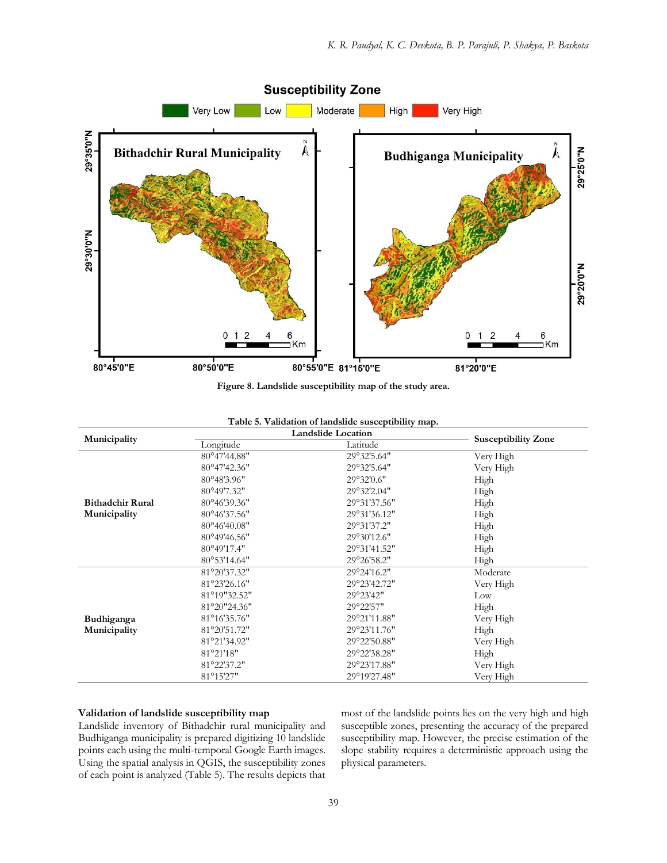

**Figure 8. Landslide susceptibility map of the study area.**

|                         | r abie bi vandation of fandonde buoleptibility map.<br><b>Landslide Location</b> |              |                            |  |
|-------------------------|----------------------------------------------------------------------------------|--------------|----------------------------|--|
| Municipality            | Longitude                                                                        | Latitude     | <b>Susceptibility Zone</b> |  |
|                         | 80°47'44.88"                                                                     | 29°32'5.64"  | Very High                  |  |
|                         | 80°47'42.36"                                                                     | 29°32'5.64"  | Very High                  |  |
|                         | 80°48'3.96"                                                                      | 29°32'0.6"   | High                       |  |
|                         | 80°49'7.32"                                                                      | 29°32'2.04"  | High                       |  |
| <b>Bithadchir Rural</b> | 80°46'39.36"                                                                     | 29°31'37.56" | High                       |  |
| Municipality            | 80°46'37.56"                                                                     | 29°31'36.12" | High                       |  |
|                         | 80°46'40.08"                                                                     | 29°31'37.2"  | High                       |  |
|                         | 80°49'46.56"                                                                     | 29°30'12.6"  | High                       |  |
|                         | 80°49'17.4"                                                                      | 29°31'41.52" | High                       |  |
|                         | 80°53'14.64"                                                                     | 29°26'58.2"  | High                       |  |
|                         | 81°20'37.32"                                                                     | 29°24'16.2"  | Moderate                   |  |
|                         | 81°23'26.16"                                                                     | 29°23'42.72" | Very High                  |  |
|                         | 81°19"32.52"                                                                     | 29°23'42"    | Low                        |  |
|                         | 81°20"24.36"                                                                     | 29°22'57"    | High                       |  |
| Budhiganga              | 81°16'35.76"                                                                     | 29°21'11.88" | Very High                  |  |
| Municipality            | 81°20'51.72"                                                                     | 29°23'11.76" | High                       |  |
|                         | 81°21'34.92"                                                                     | 29°22'50.88" | Very High                  |  |
|                         | 81°21'18"                                                                        | 29°22'38.28" | High                       |  |
|                         | 81°22'37.2"                                                                      | 29°23'17.88" | Very High                  |  |
|                         | 81°15'27"                                                                        | 29°19'27.48" | Very High                  |  |

## **Table 5. Validation of landslide susceptibility map.**

### **Validation of landslide susceptibility map**

Landslide inventory of Bithadchir rural municipality and Budhiganga municipality is prepared digitizing 10 landslide points each using the multi-temporal Google Earth images. Using the spatial analysis in QGIS, the susceptibility zones of each point is analyzed (Table 5). The results depicts that most of the landslide points lies on the very high and high susceptible zones, presenting the accuracy of the prepared susceptibility map. However, the precise estimation of the slope stability requires a deterministic approach using the physical parameters.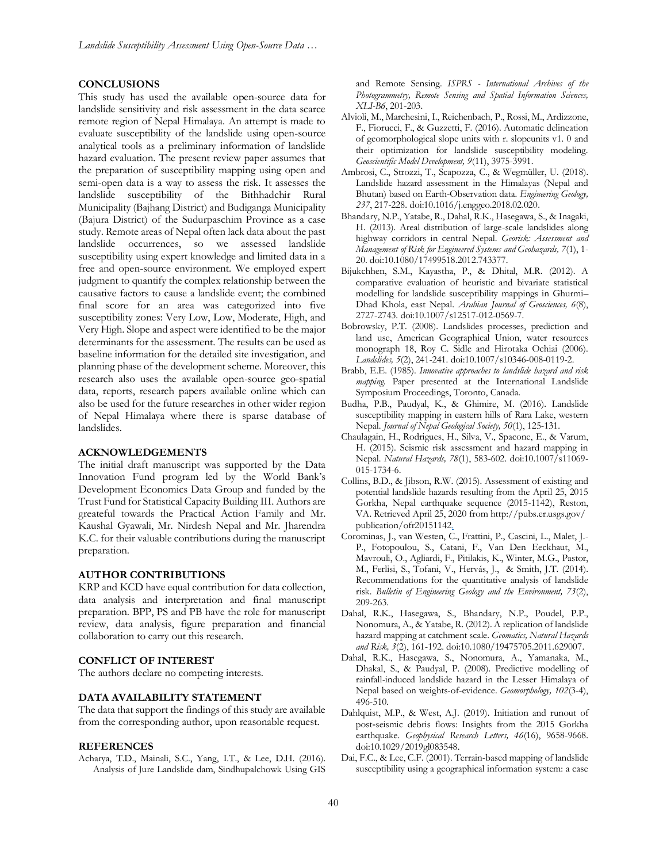### **CONCLUSIONS**

This study has used the available open-source data for landslide sensitivity and risk assessment in the data scarce remote region of Nepal Himalaya. An attempt is made to evaluate susceptibility of the landslide using open-source analytical tools as a preliminary information of landslide hazard evaluation. The present review paper assumes that the preparation of susceptibility mapping using open and semi-open data is a way to assess the risk. It assesses the landslide susceptibility of the Bithhadchir Rural Municipality (Bajhang District) and Budiganga Municipality (Bajura District) of the Sudurpaschim Province as a case study. Remote areas of Nepal often lack data about the past landslide occurrences, so we assessed landslide susceptibility using expert knowledge and limited data in a free and open-source environment. We employed expert judgment to quantify the complex relationship between the causative factors to cause a landslide event; the combined final score for an area was categorized into five susceptibility zones: Very Low, Low, Moderate, High, and Very High. Slope and aspect were identified to be the major determinants for the assessment. The results can be used as baseline information for the detailed site investigation, and planning phase of the development scheme. Moreover, this research also uses the available open-source geo-spatial data, reports, research papers available online which can also be used for the future researches in other wider region of Nepal Himalaya where there is sparse database of landslides.

#### **ACKNOWLEDGEMENTS**

The initial draft manuscript was supported by the Data Innovation Fund program led by the World Bank's Development Economics Data Group and funded by the Trust Fund for Statistical Capacity Building III. Authors are greateful towards the Practical Action Family and Mr. Kaushal Gyawali, Mr. Nirdesh Nepal and Mr. Jharendra K.C. for their valuable contributions during the manuscript preparation.

#### **AUTHOR CONTRIBUTIONS**

KRP and KCD have equal contribution for data collection, data analysis and interpretation and final manuscript preparation. BPP, PS and PB have the role for manuscript review, data analysis, figure preparation and financial collaboration to carry out this research.

#### **CONFLICT OF INTEREST**

The authors declare no competing interests.

### **DATA AVAILABILITY STATEMENT**

The data that support the findings of this study are available from the corresponding author, upon reasonable request.

### **REFERENCES**

Acharya, T.D., Mainali, S.C., Yang, I.T., & Lee, D.H. (2016). Analysis of Jure Landslide dam, Sindhupalchowk Using GIS and Remote Sensing. *ISPRS - International Archives of the Photogrammetry, Remote Sensing and Spatial Information Sciences, XLI-B6*, 201-203.

- Alvioli, M., Marchesini, I., Reichenbach, P., Rossi, M., Ardizzone, F., Fiorucci, F., & Guzzetti, F. (2016). Automatic delineation of geomorphological slope units with r. slopeunits v1. 0 and their optimization for landslide susceptibility modeling. *Geoscientific Model Development, 9*(11), 3975-3991.
- Ambrosi, C., Strozzi, T., Scapozza, C., & Wegmüller, U. (2018). Landslide hazard assessment in the Himalayas (Nepal and Bhutan) based on Earth-Observation data. *Engineering Geology, 237*, 217-228. doi:10.1016/j.enggeo.2018.02.020.
- Bhandary, N.P., Yatabe, R., Dahal, R.K., Hasegawa, S., & Inagaki, H. (2013). Areal distribution of large-scale landslides along highway corridors in central Nepal. *Georisk: Assessment and Management of Risk for Engineered Systems and Geohazards, 7*(1), 1- 20. doi:10.1080/17499518.2012.743377.
- Bijukchhen, S.M., Kayastha, P., & Dhital, M.R. (2012). A comparative evaluation of heuristic and bivariate statistical modelling for landslide susceptibility mappings in Ghurmi– Dhad Khola, east Nepal. *Arabian Journal of Geosciences, 6*(8), 2727-2743. doi:10.1007/s12517-012-0569-7.
- Bobrowsky, P.T. (2008). Landslides processes, prediction and land use, American Geographical Union, water resources monograph 18, Roy C. Sidle and Hirotaka Ochiai (2006). *Landslides, 5*(2), 241-241. doi:10.1007/s10346-008-0119-2.
- Brabb, E.E. (1985). *Innovative approaches to landslide hazard and risk mapping.* Paper presented at the International Landslide Symposium Proceedings, Toronto, Canada.
- Budha, P.B., Paudyal, K., & Ghimire, M. (2016). Landslide susceptibility mapping in eastern hills of Rara Lake, western Nepal. *Journal of Nepal Geological Society, 50*(1), 125-131.
- Chaulagain, H., Rodrigues, H., Silva, V., Spacone, E., & Varum, H. (2015). Seismic risk assessment and hazard mapping in Nepal. *Natural Hazards, 78*(1), 583-602. doi:10.1007/s11069- 015-1734-6.
- Collins, B.D., & Jibson, R.W. (2015). Assessment of existing and potential landslide hazards resulting from the April 25, 2015 Gorkha, Nepal earthquake sequence (2015-1142), Reston, VA. Retrieved April 25, 2020 from http://pubs.er.usgs.gov/ publication/ofr20151142.
- Corominas, J., van Westen, C., Frattini, P., Cascini, L., Malet, J.- P., Fotopoulou, S., Catani, F., Van Den Eeckhaut, M., Mavrouli, O., Agliardi, F., Pitilakis, K., Winter, M.G., Pastor, M., Ferlisi, S., Tofani, V., Hervás, J., & Smith, J.T. (2014). Recommendations for the quantitative analysis of landslide risk. *Bulletin of Engineering Geology and the Environment, 73*(2), 209-263.
- Dahal, R.K., Hasegawa, S., Bhandary, N.P., Poudel, P.P., Nonomura, A., & Yatabe, R. (2012). A replication of landslide hazard mapping at catchment scale. *Geomatics, Natural Hazards and Risk, 3*(2), 161-192. doi:10.1080/19475705.2011.629007.
- Dahal, R.K., Hasegawa, S., Nonomura, A., Yamanaka, M., Dhakal, S., & Paudyal, P. (2008). Predictive modelling of rainfall-induced landslide hazard in the Lesser Himalaya of Nepal based on weights-of-evidence. *Geomorphology, 102*(3-4), 496-510.
- Dahlquist, M.P., & West, A.J. (2019). Initiation and runout of post‐seismic debris flows: Insights from the 2015 Gorkha earthquake. *Geophysical Research Letters, 46*(16), 9658-9668. doi:10.1029/2019gl083548.
- Dai, F.C., & Lee, C.F. (2001). Terrain-based mapping of landslide susceptibility using a geographical information system: a case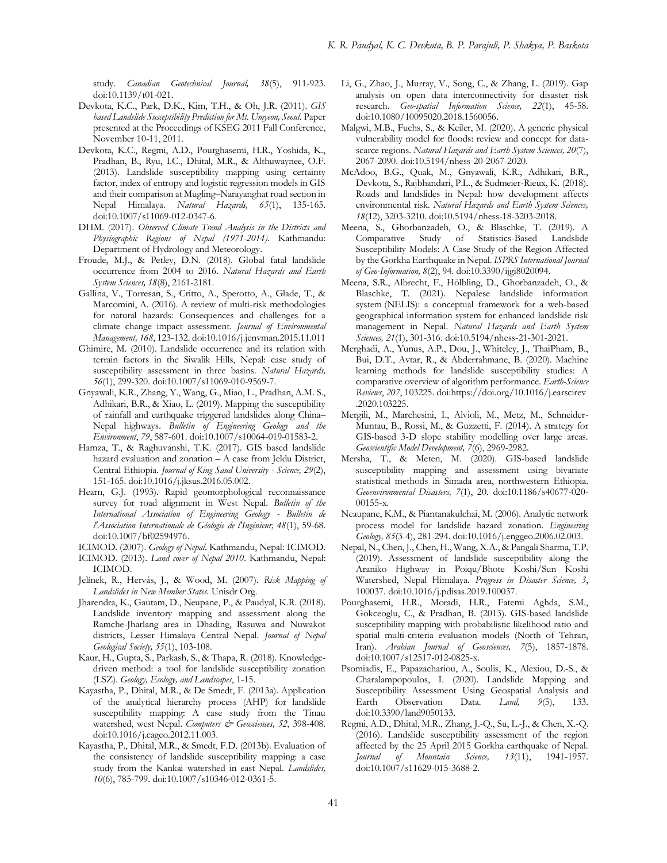study. *Canadian Geotechnical Journal, 38*(5), 911-923. doi:10.1139/t01-021.

- Devkota, K.C., Park, D.K., Kim, T.H., & Oh, J.R. (2011). *GIS based Landslide Susceptibility Prediction for Mt. Umyeon, Seoul.* Paper presented at the Proceedings of KSEG 2011 Fall Conference, November 10-11, 2011.
- Devkota, K.C., Regmi, A.D., Pourghasemi, H.R., Yoshida, K., Pradhan, B., Ryu, I.C., Dhital, M.R., & Althuwaynee, O.F. (2013). Landslide susceptibility mapping using certainty factor, index of entropy and logistic regression models in GIS and their comparison at Mugling–Narayanghat road section in Nepal Himalaya. *Natural Hazards, 65*(1), 135-165. doi:10.1007/s11069-012-0347-6.
- DHM. (2017). *Observed Climate Trend Analysis in the Districts and Physiographic Regions of Nepal (1971-2014)*. Kathmandu: Department of Hydrology and Meteorology.
- Froude, M.J., & Petley, D.N. (2018). Global fatal landslide occurrence from 2004 to 2016. *Natural Hazards and Earth System Sciences, 18*(8), 2161-2181.
- Gallina, V., Torresan, S., Critto, A., Sperotto, A., Glade, T., & Marcomini, A. (2016). A review of multi-risk methodologies for natural hazards: Consequences and challenges for a climate change impact assessment. *Journal of Environmental Management, 168*, 123-132. doi:10.1016/j.jenvman.2015.11.011
- Ghimire, M. (2010). Landslide occurrence and its relation with terrain factors in the Siwalik Hills, Nepal: case study of susceptibility assessment in three basins. *Natural Hazards, 56*(1), 299-320. doi:10.1007/s11069-010-9569-7.
- Gnyawali, K.R., Zhang, Y., Wang, G., Miao, L., Pradhan, A.M. S., Adhikari, B.R., & Xiao, L. (2019). Mapping the susceptibility of rainfall and earthquake triggered landslides along China– Nepal highways. *Bulletin of Engineering Geology and the Environment*, *79*, 587-601. doi:10.1007/s10064-019-01583-2.
- Hamza, T., & Raghuvanshi, T.K. (2017). GIS based landslide hazard evaluation and zonation – A case from Jeldu District, Central Ethiopia. *Journal of King Saud University - Science, 29*(2), 151-165. doi:10.1016/j.jksus.2016.05.002.
- Hearn, G.J. (1993). Rapid geomorphological reconnaissance survey for road alignment in West Nepal. *Bulletin of the International Association of Engineering Geology - Bulletin de l'Association Internationale de Géologie de l'Ingénieur, 48*(1), 59-68. doi:10.1007/bf02594976.
- ICIMOD. (2007). *Geology of Nepal*. Kathmandu, Nepal: ICIMOD.
- ICIMOD. (2013). *Land cover of Nepal 2010*. Kathmandu, Nepal: ICIMOD.
- Jelínek, R., Hervás, J., & Wood, M. (2007). *Risk Mapping of Landslides in New Member States.* Unisdr Org.
- Jharendra, K., Gautam, D., Neupane, P., & Paudyal, K.R. (2018). Landslide inventory mapping and assessment along the Ramche-Jharlang area in Dhading, Rasuwa and Nuwakot districts, Lesser Himalaya Central Nepal. *Journal of Nepal Geological Society, 55*(1), 103-108.
- Kaur, H., Gupta, S., Parkash, S., & Thapa, R. (2018). Knowledgedriven method: a tool for landslide susceptibility zonation (LSZ). *Geology, Ecology, and Landscapes*, 1-15.
- Kayastha, P., Dhital, M.R., & De Smedt, F. (2013a). Application of the analytical hierarchy process (AHP) for landslide susceptibility mapping: A case study from the Tinau watershed, west Nepal. Computers & Geosciences, 52, 398-408. doi:10.1016/j.cageo.2012.11.003.
- Kayastha, P., Dhital, M.R., & Smedt, F.D. (2013b). Evaluation of the consistency of landslide susceptibility mapping: a case study from the Kankai watershed in east Nepal. *Landslides, 10*(6), 785-799. doi:10.1007/s10346-012-0361-5.
- Li, G., Zhao, J., Murray, V., Song, C., & Zhang, L. (2019). Gap analysis on open data interconnectivity for disaster risk research. *Geo-spatial Information Science, 22*(1), 45-58. doi:10.1080/10095020.2018.1560056.
- Malgwi, M.B., Fuchs, S., & Keiler, M. (2020). A generic physical vulnerability model for floods: review and concept for datascarce regions. *Natural Hazards and Earth System Sciences, 20*(7), 2067-2090. doi:10.5194/nhess-20-2067-2020.
- McAdoo, B.G., Quak, M., Gnyawali, K.R., Adhikari, B.R., Devkota, S., Rajbhandari, P.L., & Sudmeier-Rieux, K. (2018). Roads and landslides in Nepal: how development affects environmental risk. *Natural Hazards and Earth System Sciences, 18*(12), 3203-3210. doi:10.5194/nhess-18-3203-2018.
- Meena, S., Ghorbanzadeh, O., & Blaschke, T. (2019). A Comparative Study of Statistics-Based Landslide Susceptibility Models: A Case Study of the Region Affected by the Gorkha Earthquake in Nepal. *ISPRS International Journal of Geo-Information, 8*(2), 94. doi:10.3390/ijgi8020094.
- Meena, S.R., Albrecht, F., Hölbling, D., Ghorbanzadeh, O., & Blaschke, T. (2021). Nepalese landslide information system (NELIS): a conceptual framework for a web-based geographical information system for enhanced landslide risk management in Nepal. *Natural Hazards and Earth System Sciences, 21*(1), 301-316. doi:10.5194/nhess-21-301-2021.
- Merghadi, A., Yunus, A.P., Dou, J., Whiteley, J., ThaiPham, B., Bui, D.T., Avtar, R., & Abderrahmane, B. (2020). Machine learning methods for landslide susceptibility studies: A comparative overview of algorithm performance. *Earth-Science Reviews*, *207*, 103225. doi:https://doi.org/10.1016/j.earscirev .2020.103225.
- Mergili, M., Marchesini, I., Alvioli, M., Metz, M., Schneider-Muntau, B., Rossi, M., & Guzzetti, F. (2014). A strategy for GIS-based 3-D slope stability modelling over large areas. *Geoscientific Model Development, 7*(6), 2969-2982.
- Mersha, T., & Meten, M. (2020). GIS-based landslide susceptibility mapping and assessment using bivariate statistical methods in Simada area, northwestern Ethiopia. *Geoenvironmental Disasters, 7*(1), 20. doi:10.1186/s40677-020- 00155-x.
- Neaupane, K.M., & Piantanakulchai, M. (2006). Analytic network process model for landslide hazard zonation. *Engineering Geology, 85*(3-4), 281-294. doi:10.1016/j.enggeo.2006.02.003.
- Nepal, N., Chen, J., Chen, H., Wang, X.A., & Pangali Sharma, T.P. (2019). Assessment of landslide susceptibility along the Araniko Highway in Poiqu/Bhote Koshi/Sun Koshi Watershed, Nepal Himalaya. *Progress in Disaster Science, 3*, 100037. doi:10.1016/j.pdisas.2019.100037.
- Pourghasemi, H.R., Moradi, H.R., Fatemi Aghda, S.M., Gokceoglu, C., & Pradhan, B. (2013). GIS-based landslide susceptibility mapping with probabilistic likelihood ratio and spatial multi-criteria evaluation models (North of Tehran, Iran). *Arabian Journal of Geosciences, 7*(5), 1857-1878. doi:10.1007/s12517-012-0825-x.
- Psomiadis, E., Papazachariou, A., Soulis, K., Alexiou, D.-S., & Charalampopoulos, I. (2020). Landslide Mapping and Susceptibility Assessment Using Geospatial Analysis and Earth Observation Data. *Land, 9*(5), 133. doi:10.3390/land9050133.
- Regmi, A.D., Dhital, M.R., Zhang, J.-Q., Su, L.-J., & Chen, X.-Q. (2016). Landslide susceptibility assessment of the region affected by the 25 April 2015 Gorkha earthquake of Nepal. *Journal of Mountain Science, 13*(11), 1941-1957. doi:10.1007/s11629-015-3688-2.